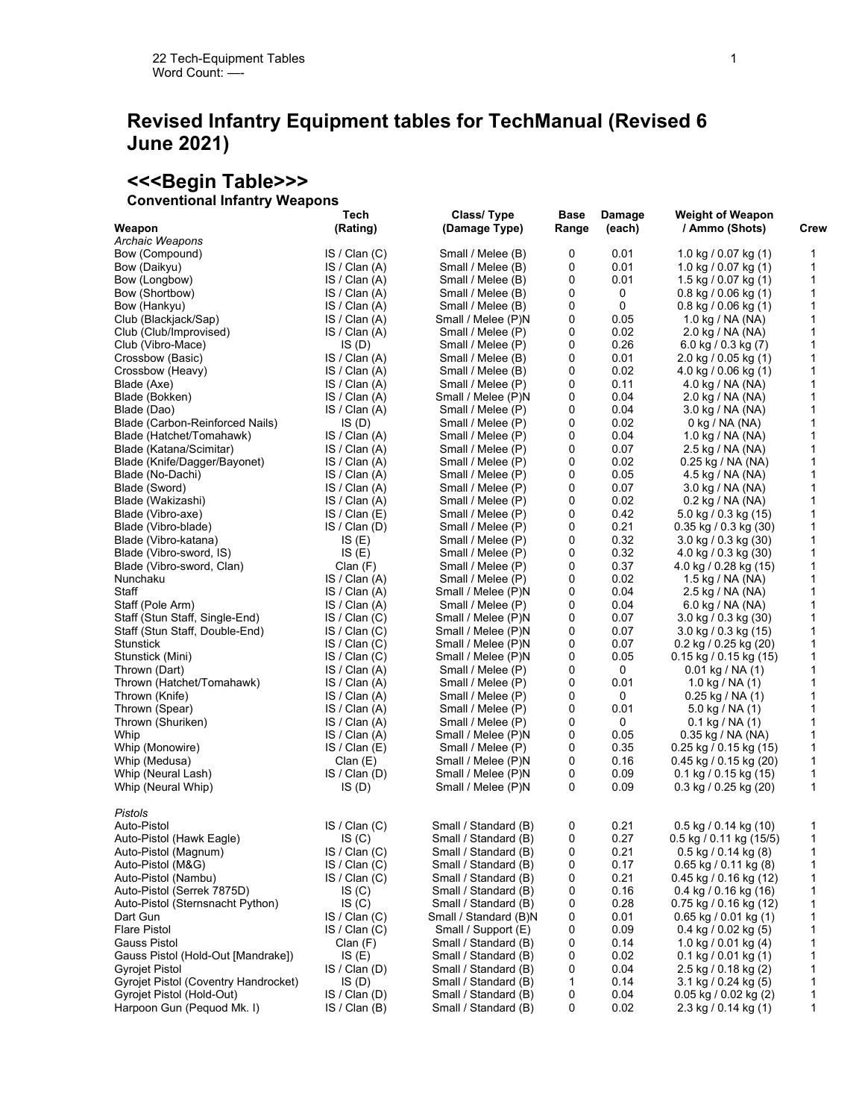## **Revised Infantry Equipment tables for TechManual (Revised 6 June 2021)**

### **<<<Begin Table>>>**

## **Conventional Infantry Weapons**

| CONVENTIONAL INTRITETY VYBAPONS      |                  |                             |               |                  |                                           |      |
|--------------------------------------|------------------|-----------------------------|---------------|------------------|-------------------------------------------|------|
| Weapon                               | Tech<br>(Rating) | Class/Type<br>(Damage Type) | Base<br>Range | Damage<br>(each) | <b>Weight of Weapon</b><br>/ Ammo (Shots) | Crew |
| Archaic Weapons                      |                  |                             |               |                  |                                           |      |
| Bow (Compound)                       | IS / Clan(C)     | Small / Melee (B)           | 0             | 0.01             | 1.0 kg / 0.07 kg (1)                      | 1    |
| Bow (Daikyu)                         | IS / Clan(A)     | Small / Melee (B)           | 0             | 0.01             | 1.0 kg / 0.07 kg $(1)$                    | 1    |
| Bow (Longbow)                        | IS / Clan(A)     | Small / Melee (B)           | 0             | 0.01             | 1.5 kg / 0.07 kg $(1)$                    | 1    |
| Bow (Shortbow)                       | IS / Clan(A)     | Small / Melee (B)           | 0             | 0                | $0.8$ kg $/ 0.06$ kg $(1)$                | 1    |
| Bow (Hankyu)                         | IS / Clan(A)     | Small / Melee (B)           | 0             | 0                | $0.8$ kg $/ 0.06$ kg $(1)$                | 1    |
| Club (Blackjack/Sap)                 | IS / Clan(A)     | Small / Melee (P)N          | 0             | 0.05             | 1.0 kg / NA (NA)                          | 1    |
| Club (Club/Improvised)               | IS / Clan(A)     | Small / Melee (P)           | 0             | 0.02             | 2.0 kg / NA (NA)                          | 1    |
| Club (Vibro-Mace)                    | IS(D)            | Small / Melee (P)           | 0             | 0.26             | 6.0 kg / 0.3 kg $(7)$                     | 1    |
| Crossbow (Basic)                     | IS / Clan(A)     | Small / Melee (B)           | 0             | 0.01             | $2.0$ kg / 0.05 kg (1)                    | 1    |
| Crossbow (Heavy)                     | IS / Clan(A)     | Small / Melee (B)           | 0             | 0.02             | 4.0 kg / 0.06 kg (1)                      | 1    |
| Blade (Axe)                          | IS / Clan(A)     | Small / Melee (P)           | 0             | 0.11             | 4.0 kg / NA (NA)                          | 1    |
| Blade (Bokken)                       | IS / Clan(A)     | Small / Melee (P)N          | 0             | 0.04             | 2.0 kg / NA (NA)                          | 1    |
| Blade (Dao)                          | IS / Clan(A)     | Small / Melee (P)           | 0             | 0.04             | 3.0 kg / NA (NA)                          | 1    |
| Blade (Carbon-Reinforced Nails)      | IS (D)           | Small / Melee (P)           | 0             | 0.02             | 0 kg / NA (NA)                            | 1    |
| Blade (Hatchet/Tomahawk)             | IS / Clan(A)     | Small / Melee (P)           | 0             | 0.04             | 1.0 kg / NA (NA)                          | 1    |
| Blade (Katana/Scimitar)              | IS / Clan(A)     | Small / Melee (P)           | 0             | 0.07             | 2.5 kg / NA (NA)                          | 1    |
| Blade (Knife/Dagger/Bayonet)         | IS / Clan (A)    | Small / Melee (P)           | 0             | 0.02             | 0.25 kg / NA (NA)                         | 1    |
| Blade (No-Dachi)                     | IS / Clan(A)     | Small / Melee (P)           | 0             | 0.05             | 4.5 kg / NA (NA)                          | 1    |
| Blade (Sword)                        | IS / Clan(A)     | Small / Melee (P)           | 0             | 0.07             | 3.0 kg / NA (NA)                          | 1    |
| Blade (Wakizashi)                    | IS / Clan(A)     | Small / Melee (P)           | 0             | 0.02             | 0.2 kg / NA (NA)                          | 1    |
| Blade (Vibro-axe)                    | IS / Clan (E)    | Small / Melee (P)           | 0             | 0.42             | 5.0 kg / 0.3 kg (15)                      | 1    |
| Blade (Vibro-blade)                  | IS / Clan (D)    | Small / Melee (P)           | 0             | 0.21             | $0.35$ kg / 0.3 kg (30)                   | 1    |
| Blade (Vibro-katana)                 | IS(E)            | Small / Melee (P)           | 0             | 0.32             | $3.0 \text{ kg} / 0.3 \text{ kg}$ (30)    | 1    |
| Blade (Vibro-sword, IS)              | IS(E)            | Small / Melee (P)           | 0             | 0.32             | 4.0 kg / 0.3 kg (30)                      | 1    |
| Blade (Vibro-sword, Clan)            | Clan (F)         | Small / Melee (P)           | 0             | 0.37             | 4.0 kg / 0.28 kg (15)                     | 1    |
| Nunchaku                             | IS / Clan(A)     | Small / Melee (P)           | 0             | 0.02             | 1.5 kg / NA (NA)                          | 1    |
| Staff                                | IS / Clan(A)     | Small / Melee (P)N          | 0             | 0.04             | 2.5 kg / NA (NA)                          | 1    |
| Staff (Pole Arm)                     | IS / Clan(A)     | Small / Melee (P)           | 0             | 0.04             | 6.0 kg / NA (NA)                          | 1    |
| Staff (Stun Staff, Single-End)       | IS / Clan(C)     | Small / Melee (P)N          | 0             | 0.07             | 3.0 kg / 0.3 kg (30)                      | 1    |
| Staff (Stun Staff, Double-End)       | IS / Clan(C)     | Small / Melee (P)N          | 0             | 0.07             | 3.0 kg / 0.3 kg (15)                      | 1    |
| Stunstick                            | IS / Clan(C)     | Small / Melee (P)N          | 0             | 0.07             | $0.2$ kg / 0.25 kg (20)                   | 1    |
| Stunstick (Mini)                     | IS / Clan(C)     | Small / Melee (P)N          | 0             | 0.05             | 0.15 kg / 0.15 kg (15)                    | 1    |
| Thrown (Dart)                        | IS / Clan(A)     | Small / Melee (P)           | 0             | 0                | $0.01$ kg / NA (1)                        | 1    |
| Thrown (Hatchet/Tomahawk)            | IS / Clan(A)     | Small / Melee (P)           | 0             | 0.01             | 1.0 kg / NA $(1)$                         | 1    |
| Thrown (Knife)                       | IS / Clan(A)     | Small / Melee (P)           | 0             | 0                | $0.25$ kg / NA (1)                        | 1    |
| Thrown (Spear)                       | IS / Clan(A)     | Small / Melee (P)           | 0             | 0.01             | 5.0 kg / NA $(1)$                         | 1    |
| Thrown (Shuriken)                    | IS / Clan(A)     | Small / Melee (P)           | 0             | 0                | $0.1$ kg / NA $(1)$                       | 1    |
| Whip                                 | IS / Clan(A)     | Small / Melee (P)N          | 0             | 0.05             | 0.35 kg / NA (NA)                         | 1    |
| Whip (Monowire)                      | IS / Clan (E)    | Small / Melee (P)           | 0             | 0.35             | $0.25$ kg / 0.15 kg (15)                  | 1    |
| Whip (Medusa)                        | Clan(E)          | Small / Melee (P)N          | 0             | 0.16             | $0.45$ kg / 0.15 kg (20)                  | 1    |
| Whip (Neural Lash)                   | IS / Clan (D)    | Small / Melee (P)N          | 0             | 0.09             | $0.1$ kg / 0.15 kg (15)                   | 1    |
| Whip (Neural Whip)                   | IS(D)            | Small / Melee (P)N          | 0             | 0.09             | $0.3$ kg / 0.25 kg (20)                   | 1    |
| Pistols                              |                  |                             |               |                  |                                           |      |
| Auto-Pistol                          | IS / Clan (C)    | Small / Standard (B)        | 0             | 0.21             | $0.5$ kg / 0.14 kg (10)                   | 1    |
| Auto-Pistol (Hawk Eagle)             | IS(C)            | Small / Standard (B)        | 0             | 0.27             | $0.5$ kg / 0.11 kg (15/5)                 |      |
| Auto-Pistol (Magnum)                 | IS / Clan(C)     | Small / Standard (B)        | 0             | 0.21             | $0.5$ kg / 0.14 kg (8)                    | 1    |
| Auto-Pistol (M&G)                    | IS / Clan(C)     | Small / Standard (B)        | 0             | 0.17             | 0.65 kg / 0.11 kg (8)                     | 1    |
| Auto-Pistol (Nambu)                  | IS / Clan(C)     | Small / Standard (B)        | 0             | 0.21             | $0.45$ kg / 0.16 kg (12)                  | 1    |
| Auto-Pistol (Serrek 7875D)           | IS(C)            | Small / Standard (B)        | 0             | 0.16             | $0.4$ kg / 0.16 kg (16)                   | 1    |
| Auto-Pistol (Sternsnacht Python)     | IS(C)            | Small / Standard (B)        | 0             | 0.28             | 0.75 kg / 0.16 kg (12)                    | 1    |
| Dart Gun                             | IS / Clan(C)     | Small / Standard (B)N       | 0             | 0.01             | $0.65$ kg $/ 0.01$ kg $(1)$               | 1    |
| <b>Flare Pistol</b>                  | IS / Clan (C)    | Small / Support (E)         | 0             | 0.09             | $0.4$ kg $/ 0.02$ kg $(5)$                | 1    |
| Gauss Pistol                         | Clan(F)          | Small / Standard (B)        | 0             | 0.14             | 1.0 kg / 0.01 kg $(4)$                    | 1    |
| Gauss Pistol (Hold-Out [Mandrake])   | IS(E)            | Small / Standard (B)        | 0             | 0.02             | $0.1$ kg $/ 0.01$ kg $(1)$                | 1    |
| Gyrojet Pistol                       | IS / Clan (D)    | Small / Standard (B)        | 0             | 0.04             | 2.5 kg / 0.18 kg (2)                      | 1    |
| Gyrojet Pistol (Coventry Handrocket) | IS(D)            | Small / Standard (B)        | 1             | 0.14             | $3.1$ kg / 0.24 kg (5)                    | 1    |
| Gyrojet Pistol (Hold-Out)            | IS / Clan (D)    | Small / Standard (B)        | 0             | 0.04             | $0.05$ kg $/ 0.02$ kg $(2)$               | 1    |
| Harpoon Gun (Pequod Mk. I)           | IS / Clan (B)    | Small / Standard (B)        | 0             | 0.02             | $2.3$ kg / 0.14 kg (1)                    | 1    |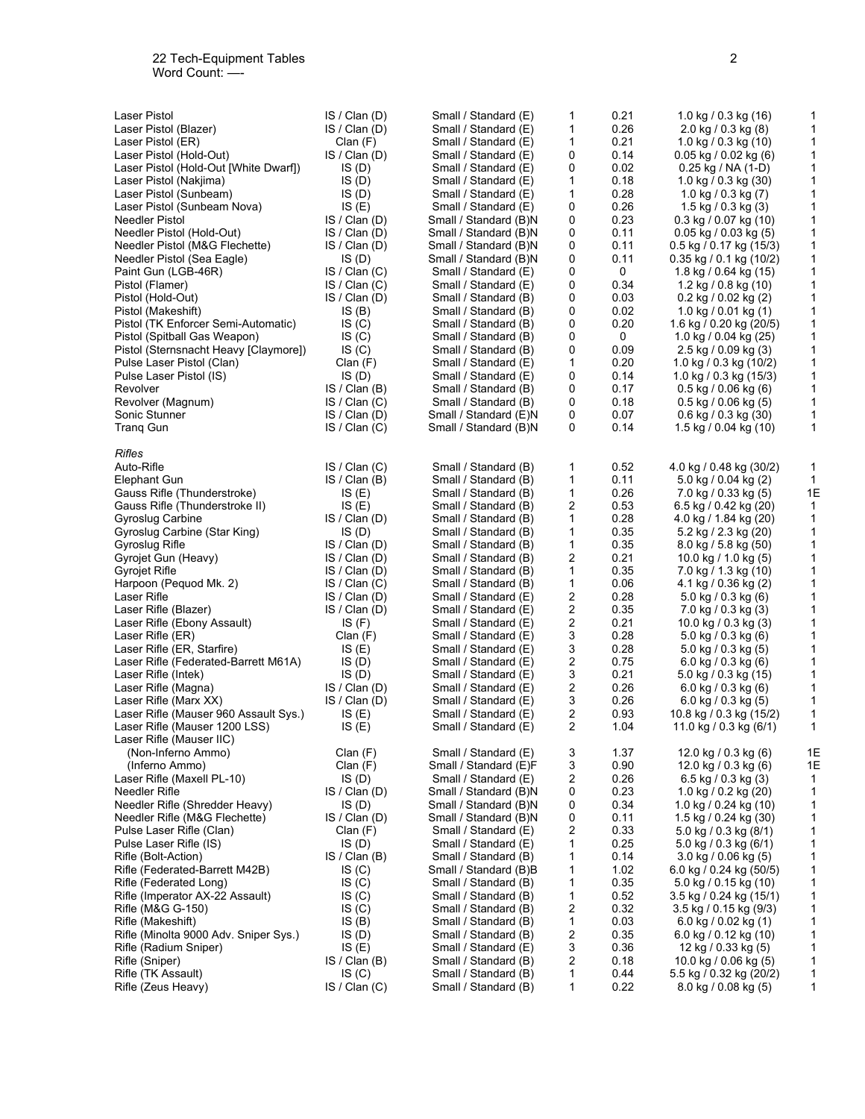| Laser Pistol                          | IS / Clan (D) | Small / Standard (E)  | 1 | 0.21 | 1.0 kg / 0.3 kg $(16)$     | 1            |
|---------------------------------------|---------------|-----------------------|---|------|----------------------------|--------------|
| Laser Pistol (Blazer)                 | IS / Clan (D) | Small / Standard (E)  | 1 | 0.26 | $2.0$ kg / 0.3 kg (8)      | $\mathbf{1}$ |
| Laser Pistol (ER)                     | Clan(F)       | Small / Standard (E)  | 1 | 0.21 | 1.0 kg / 0.3 kg (10)       | $\mathbf{1}$ |
|                                       | IS / Clan (D) |                       | 0 | 0.14 |                            | $\mathbf{1}$ |
| Laser Pistol (Hold-Out)               |               | Small / Standard (E)  |   |      | 0.05 kg / 0.02 kg (6)      |              |
| Laser Pistol (Hold-Out [White Dwarf]) | IS(D)         | Small / Standard (E)  | 0 | 0.02 | $0.25$ kg / NA (1-D)       | $\mathbf{1}$ |
| Laser Pistol (Nakjima)                | IS(D)         | Small / Standard (E)  | 1 | 0.18 | 1.0 kg / 0.3 kg $(30)$     | $\mathbf{1}$ |
| Laser Pistol (Sunbeam)                | IS(D)         | Small / Standard (E)  | 1 | 0.28 | 1.0 kg / 0.3 kg $(7)$      | 1            |
| Laser Pistol (Sunbeam Nova)           | IS(E)         | Small / Standard (E)  | 0 | 0.26 | 1.5 kg / 0.3 kg (3)        | $\mathbf{1}$ |
| Needler Pistol                        | IS / Clan (D) | Small / Standard (B)N | 0 | 0.23 | 0.3 kg / 0.07 kg (10)      | $\mathbf{1}$ |
| Needler Pistol (Hold-Out)             | IS / Clan (D) | Small / Standard (B)N | 0 | 0.11 | $0.05$ kg / 0.03 kg (5)    | $\mathbf{1}$ |
| Needler Pistol (M&G Flechette)        | IS / Clan (D) | Small / Standard (B)N | 0 | 0.11 | 0.5 kg / 0.17 kg (15/3)    | 1            |
| Needler Pistol (Sea Eagle)            | IS(D)         | Small / Standard (B)N | 0 | 0.11 | $0.35$ kg / 0.1 kg (10/2)  | $\mathbf{1}$ |
| Paint Gun (LGB-46R)                   | IS / Clan(C)  | Small / Standard (E)  | 0 | 0    | 1.8 kg / 0.64 kg (15)      | $\mathbf{1}$ |
| Pistol (Flamer)                       | IS / Clan(C)  | Small / Standard (E)  | 0 | 0.34 | 1.2 kg / 0.8 kg (10)       | $\mathbf{1}$ |
| Pistol (Hold-Out)                     | IS / Clan (D) | Small / Standard (B)  | 0 | 0.03 | 0.2 kg / 0.02 kg (2)       | 1            |
|                                       |               |                       |   |      |                            | $\mathbf{1}$ |
| Pistol (Makeshift)                    | IS(B)         | Small / Standard (B)  | 0 | 0.02 | 1.0 kg / 0.01 kg (1)       |              |
| Pistol (TK Enforcer Semi-Automatic)   | IS(C)         | Small / Standard (B)  | 0 | 0.20 | 1.6 kg / 0.20 kg (20/5)    | $\mathbf{1}$ |
| Pistol (Spitball Gas Weapon)          | IS(C)         | Small / Standard (B)  | 0 | 0    | 1.0 kg / 0.04 kg (25)      | $\mathbf{1}$ |
| Pistol (Sternsnacht Heavy [Claymore]) | IS(C)         | Small / Standard (B)  | 0 | 0.09 | 2.5 kg / 0.09 kg (3)       | $\mathbf{1}$ |
| Pulse Laser Pistol (Clan)             | Clan (F)      | Small / Standard (E)  | 1 | 0.20 | 1.0 kg / 0.3 kg (10/2)     | $\mathbf{1}$ |
| Pulse Laser Pistol (IS)               | IS(D)         | Small / Standard (E)  | 0 | 0.14 | 1.0 kg / 0.3 kg $(15/3)$   | $\mathbf{1}$ |
| Revolver                              | IS / Clan (B) | Small / Standard (B)  | 0 | 0.17 | $0.5$ kg / 0.06 kg (6)     | 1            |
| Revolver (Magnum)                     | IS / Clan(C)  | Small / Standard (B)  | 0 | 0.18 | $0.5$ kg $/ 0.06$ kg $(5)$ | $\mathbf{1}$ |
| Sonic Stunner                         | IS / Clan (D) | Small / Standard (E)N | 0 | 0.07 | $0.6$ kg / 0.3 kg (30)     | 1            |
| <b>Trang Gun</b>                      | IS / Clan(C)  | Small / Standard (B)N | 0 | 0.14 | 1.5 kg / 0.04 kg (10)      | $\mathbf{1}$ |
|                                       |               |                       |   |      |                            |              |
| Rifles                                |               |                       |   |      |                            |              |
| Auto-Rifle                            | IS / Clan(C)  | Small / Standard (B)  | 1 | 0.52 | 4.0 kg / 0.48 kg (30/2)    | 1            |
| Elephant Gun                          | IS / Clan(B)  | Small / Standard (B)  | 1 | 0.11 | 5.0 kg / 0.04 kg (2)       | $\mathbf{1}$ |
| Gauss Rifle (Thunderstroke)           | IS(E)         | Small / Standard (B)  | 1 | 0.26 | 7.0 kg / 0.33 kg (5)       | 1E           |
| Gauss Rifle (Thunderstroke II)        | IS(E)         | Small / Standard (B)  | 2 | 0.53 | 6.5 kg / 0.42 kg (20)      | $\mathbf{1}$ |
| Gyroslug Carbine                      | IS / Clan (D) | Small / Standard (B)  | 1 | 0.28 | 4.0 kg / 1.84 kg (20)      | $\mathbf{1}$ |
| Gyroslug Carbine (Star King)          | IS (D)        | Small / Standard (B)  | 1 | 0.35 | 5.2 kg / 2.3 kg (20)       | $\mathbf{1}$ |
| Gyroslug Rifle                        | IS / Clan (D) | Small / Standard (B)  | 1 | 0.35 | $8.0$ kg / 5.8 kg (50)     | $\mathbf{1}$ |
| Gyrojet Gun (Heavy)                   | IS / Clan (D) | Small / Standard (B)  | 2 | 0.21 | 10.0 kg / 1.0 kg (5)       | $\mathbf{1}$ |
|                                       |               |                       | 1 | 0.35 |                            | $\mathbf{1}$ |
| Gyrojet Rifle                         | IS / Clan (D) | Small / Standard (B)  |   |      | 7.0 kg / 1.3 kg (10)       |              |
| Harpoon (Pequod Mk. 2)                | IS / Clan (C) | Small / Standard (B)  | 1 | 0.06 | 4.1 kg / 0.36 kg (2)       | $\mathbf{1}$ |
| Laser Rifle                           | IS / Clan (D) | Small / Standard (E)  | 2 | 0.28 | $5.0$ kg / 0.3 kg (6)      | $\mathbf{1}$ |
| Laser Rifle (Blazer)                  | IS / Clan (D) | Small / Standard (E)  | 2 | 0.35 | 7.0 kg / 0.3 kg (3)        | 1            |
| Laser Rifle (Ebony Assault)           | IS(F)         | Small / Standard (E)  | 2 | 0.21 | 10.0 kg / 0.3 kg (3)       | $\mathbf{1}$ |
| Laser Rifle (ER)                      | Clan (F)      | Small / Standard (E)  | 3 | 0.28 | $5.0$ kg / 0.3 kg (6)      | 1            |
| Laser Rifle (ER, Starfire)            | IS $(E)$      | Small / Standard (E)  | 3 | 0.28 | $5.0$ kg / 0.3 kg (5)      | $\mathbf{1}$ |
| Laser Rifle (Federated-Barrett M61A)  | IS(D)         | Small / Standard (E)  | 2 | 0.75 | 6.0 kg / 0.3 kg (6)        | $\mathbf{1}$ |
| Laser Rifle (Intek)                   | IS(D)         | Small / Standard (E)  | 3 | 0.21 | 5.0 kg / 0.3 kg (15)       | 1            |
| Laser Rifle (Magna)                   | IS / Clan (D) | Small / Standard (E)  | 2 | 0.26 | 6.0 kg / 0.3 kg $(6)$      | 1            |
| Laser Rifle (Marx XX)                 | IS / Clan (D) | Small / Standard (E)  | 3 | 0.26 | 6.0 kg / 0.3 kg (5)        | 1            |
| Laser Rifle (Mauser 960 Assault Sys.) | IS(E)         | Small / Standard (E)  | 2 | 0.93 | 10.8 kg / 0.3 kg (15/2)    | 1            |
| Laser Rifle (Mauser 1200 LSS)         | IS(E)         | Small / Standard (E)  | 2 | 1.04 | 11.0 kg / 0.3 kg $(6/1)$   | 1            |
| Laser Rifle (Mauser IIC)              |               |                       |   |      |                            |              |
| (Non-Inferno Ammo)                    | Clan(F)       | Small / Standard (E)  | 3 | 1.37 | 12.0 kg / 0.3 kg (6)       | 1E           |
| (Inferno Ammo)                        | Clan(F)       | Small / Standard (E)F | 3 | 0.90 | 12.0 kg / 0.3 kg (6)       | 1E           |
| Laser Rifle (Maxell PL-10)            | IS(D)         | Small / Standard (E)  | 2 | 0.26 | 6.5 kg / 0.3 kg $(3)$      | 1            |
| Needler Rifle                         | IS / Clan (D) | Small / Standard (B)N | 0 | 0.23 | 1.0 kg / 0.2 kg (20)       | 1            |
| Needler Rifle (Shredder Heavy)        | IS(D)         | Small / Standard (B)N | 0 | 0.34 | 1.0 kg / 0.24 kg (10)      | 1            |
| Needler Rifle (M&G Flechette)         | IS / Clan (D) | Small / Standard (B)N | 0 | 0.11 | 1.5 kg / 0.24 kg (30)      | 1            |
| Pulse Laser Rifle (Clan)              |               |                       |   | 0.33 | 5.0 kg / 0.3 kg (8/1)      |              |
|                                       | Clan (F)      | Small / Standard (E)  | 2 |      |                            | $\mathbf{1}$ |
| Pulse Laser Rifle (IS)                | IS(D)         | Small / Standard (E)  | 1 | 0.25 | 5.0 kg / 0.3 kg (6/1)      | $\mathbf{1}$ |
| Rifle (Bolt-Action)                   | IS / Clan (B) | Small / Standard (B)  | 1 | 0.14 | $3.0$ kg $/ 0.06$ kg $(5)$ | $\mathbf{1}$ |
| Rifle (Federated-Barrett M42B)        | IS(C)         | Small / Standard (B)B | 1 | 1.02 | 6.0 kg / 0.24 kg (50/5)    | $\mathbf{1}$ |
| Rifle (Federated Long)                | IS(C)         | Small / Standard (B)  | 1 | 0.35 | 5.0 kg / 0.15 kg (10)      | 1            |
| Rifle (Imperator AX-22 Assault)       | IS(C)         | Small / Standard (B)  | 1 | 0.52 | 3.5 kg / 0.24 kg (15/1)    | $\mathbf{1}$ |
| Rifle (M&G G-150)                     | IS(C)         | Small / Standard (B)  | 2 | 0.32 | 3.5 kg / 0.15 kg (9/3)     | $\mathbf{1}$ |
| Rifle (Makeshift)                     | IS(B)         | Small / Standard (B)  | 1 | 0.03 | 6.0 kg / 0.02 kg (1)       | $\mathbf{1}$ |
| Rifle (Minolta 9000 Adv. Sniper Sys.) | IS(D)         | Small / Standard (B)  | 2 | 0.35 | 6.0 kg / 0.12 kg (10)      | 1            |
| Rifle (Radium Sniper)                 | IS(E)         | Small / Standard (E)  | 3 | 0.36 | 12 kg / 0.33 kg (5)        | $\mathbf{1}$ |
| Rifle (Sniper)                        | IS / Clan (B) | Small / Standard (B)  | 2 | 0.18 | 10.0 kg / 0.06 kg (5)      | $\mathbf{1}$ |
| Rifle (TK Assault)                    | IS(C)         | Small / Standard (B)  | 1 | 0.44 | 5.5 kg / 0.32 kg (20/2)    | 1            |
| Rifle (Zeus Heavy)                    | IS / Clan(C)  | Small / Standard (B)  | 1 | 0.22 | 8.0 kg / 0.08 kg (5)       | 1            |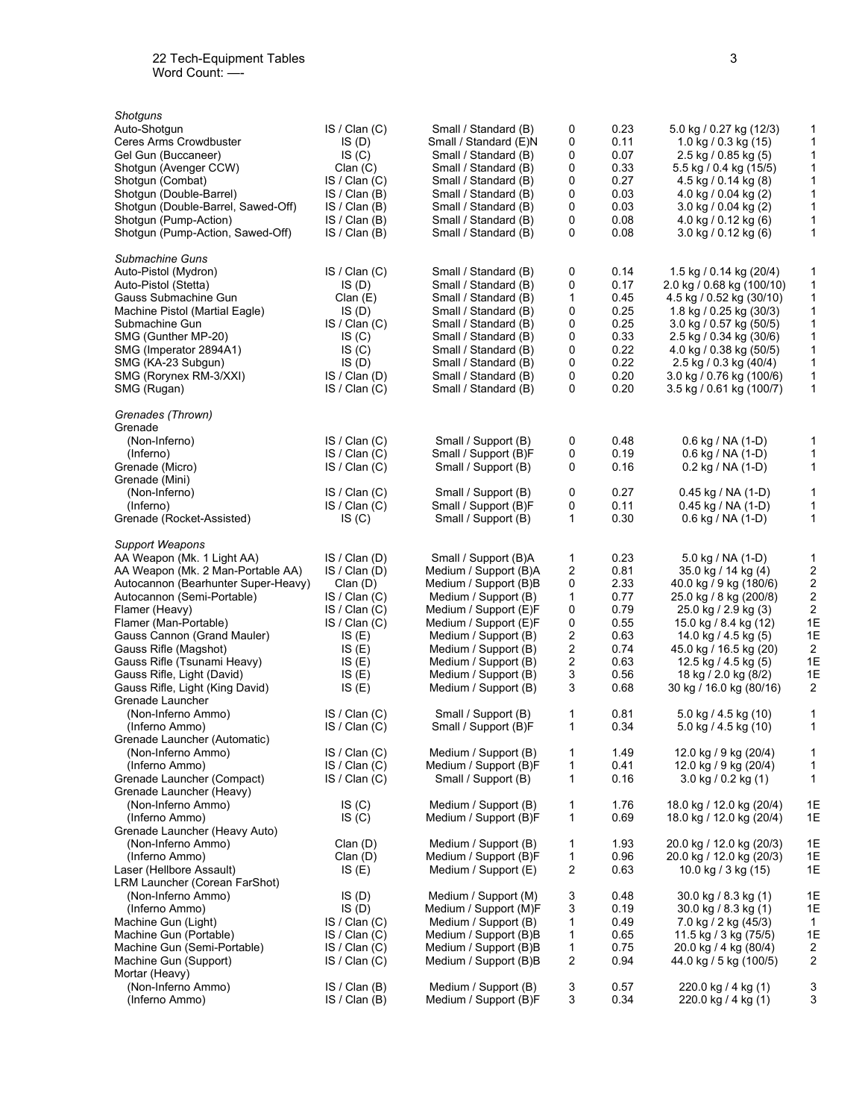| Shotquns                            |               |                       |                         |      |                                        |                         |
|-------------------------------------|---------------|-----------------------|-------------------------|------|----------------------------------------|-------------------------|
| Auto-Shotgun                        | IS / Clan(C)  | Small / Standard (B)  | 0                       | 0.23 | 5.0 kg / 0.27 kg (12/3)                | 1                       |
| Ceres Arms Crowdbuster              | IS(D)         | Small / Standard (E)N | 0                       | 0.11 | 1.0 kg / 0.3 kg (15)                   | 1                       |
| Gel Gun (Buccaneer)                 | IS(C)         | Small / Standard (B)  | 0                       | 0.07 | $2.5$ kg / 0.85 kg (5)                 | 1                       |
| Shotgun (Avenger CCW)               | Clan(C)       | Small / Standard (B)  | 0                       | 0.33 | 5.5 kg / 0.4 kg (15/5)                 | $\mathbf{1}$            |
| Shotqun (Combat)                    | IS / Clan(C)  | Small / Standard (B)  | 0                       | 0.27 | $4.5$ kg / 0.14 kg (8)                 | $\mathbf{1}$            |
| Shotgun (Double-Barrel)             | IS / Clan (B) | Small / Standard (B)  | 0                       | 0.03 | 4.0 kg / 0.04 kg $(2)$                 | $\mathbf{1}$            |
| Shotgun (Double-Barrel, Sawed-Off)  | IS / Clan (B) | Small / Standard (B)  | 0                       | 0.03 | $3.0 \text{ kg} / 0.04 \text{ kg}$ (2) | $\mathbf{1}$            |
| Shotgun (Pump-Action)               | IS / Clan (B) | Small / Standard (B)  | 0                       | 0.08 | 4.0 kg / 0.12 kg (6)                   | $\mathbf{1}$            |
| Shotgun (Pump-Action, Sawed-Off)    | IS / Clan (B) | Small / Standard (B)  | 0                       | 0.08 | 3.0 kg / 0.12 kg (6)                   | 1                       |
| Submachine Guns                     |               |                       |                         |      |                                        |                         |
| Auto-Pistol (Mydron)                | IS / Clan(C)  | Small / Standard (B)  | 0                       | 0.14 | 1.5 kg / 0.14 kg (20/4)                | 1                       |
| Auto-Pistol (Stetta)                | IS(D)         | Small / Standard (B)  | 0                       | 0.17 | 2.0 kg / 0.68 kg (100/10)              | $\mathbf{1}$            |
| Gauss Submachine Gun                | Clan(E)       | Small / Standard (B)  | 1                       | 0.45 | 4.5 kg / 0.52 kg (30/10)               | 1                       |
| Machine Pistol (Martial Eagle)      | IS(D)         | Small / Standard (B)  | 0                       | 0.25 | 1.8 kg / 0.25 kg (30/3)                | $\mathbf{1}$            |
| Submachine Gun                      | IS / Clan(C)  | Small / Standard (B)  | 0                       | 0.25 | 3.0 kg / 0.57 kg (50/5)                | 1                       |
| SMG (Gunther MP-20)                 | IS(C)         | Small / Standard (B)  | 0                       | 0.33 | 2.5 kg / 0.34 kg (30/6)                | $\mathbf{1}$            |
| SMG (Imperator 2894A1)              | IS(C)         | Small / Standard (B)  | 0                       | 0.22 | 4.0 kg / 0.38 kg (50/5)                | $\mathbf{1}$            |
| SMG (KA-23 Subgun)                  | IS(D)         | Small / Standard (B)  | 0                       | 0.22 | 2.5 kg / 0.3 kg (40/4)                 | $\mathbf{1}$            |
| SMG (Rorynex RM-3/XXI)              | IS / Clan (D) | Small / Standard (B)  | 0                       | 0.20 | 3.0 kg / 0.76 kg (100/6)               | $\mathbf{1}$            |
| SMG (Rugan)                         | IS / Clan(C)  | Small / Standard (B)  | 0                       | 0.20 | 3.5 kg / 0.61 kg (100/7)               | $\mathbf{1}$            |
| Grenades (Thrown)                   |               |                       |                         |      |                                        |                         |
| Grenade                             |               |                       |                         |      |                                        |                         |
| (Non-Inferno)                       | IS / Clan(C)  | Small / Support (B)   | 0                       | 0.48 | $0.6$ kg / NA (1-D)                    | 1                       |
| (Inferno)                           | IS / Clan(C)  | Small / Support (B)F  | 0                       | 0.19 | $0.6$ kg / NA (1-D)                    | 1                       |
| Grenade (Micro)                     | IS / Clan(C)  | Small / Support (B)   | 0                       | 0.16 | $0.2$ kg / NA (1-D)                    | $\mathbf{1}$            |
| Grenade (Mini)                      |               |                       |                         |      |                                        |                         |
| (Non-Inferno)                       | IS / Clan(C)  | Small / Support (B)   | 0                       | 0.27 | $0.45$ kg / NA (1-D)                   | 1                       |
| (Inferno)                           | IS / Clan (C) | Small / Support (B)F  | 0                       | 0.11 | $0.45$ kg / NA (1-D)                   | $\mathbf{1}$            |
| Grenade (Rocket-Assisted)           | IS(C)         | Small / Support (B)   | $\mathbf{1}$            | 0.30 | $0.6$ kg / NA (1-D)                    | $\mathbf{1}$            |
| <b>Support Weapons</b>              |               |                       |                         |      |                                        |                         |
| AA Weapon (Mk. 1 Light AA)          | IS / Clan (D) | Small / Support (B)A  | 1                       | 0.23 | 5.0 kg / NA $(1-D)$                    | $\mathbf{1}$            |
| AA Weapon (Mk. 2 Man-Portable AA)   | IS / Clan (D) | Medium / Support (B)A | 2                       | 0.81 | 35.0 kg / 14 kg (4)                    | 2                       |
| Autocannon (Bearhunter Super-Heavy) | Clan(D)       | Medium / Support (B)B | 0                       | 2.33 | 40.0 kg / 9 kg (180/6)                 | 2                       |
| Autocannon (Semi-Portable)          | IS / Clan(C)  | Medium / Support (B)  | 1                       | 0.77 | 25.0 kg / 8 kg (200/8)                 | 2                       |
| Flamer (Heavy)                      | IS / Clan (C) | Medium / Support (E)F | 0                       | 0.79 | 25.0 kg / 2.9 kg (3)                   | $\overline{2}$          |
| Flamer (Man-Portable)               | IS / Clan (C) | Medium / Support (E)F | 0                       | 0.55 | 15.0 kg / 8.4 kg (12)                  | 1E                      |
| Gauss Cannon (Grand Mauler)         | IS(E)         | Medium / Support (B)  | 2                       | 0.63 | 14.0 kg / 4.5 kg (5)                   | 1E                      |
| Gauss Rifle (Magshot)               | IS(E)         | Medium / Support (B)  | 2                       | 0.74 | 45.0 kg / 16.5 kg (20)                 | 2                       |
| Gauss Rifle (Tsunami Heavy)         | IS(E)         | Medium / Support (B)  | 2                       | 0.63 | 12.5 kg / 4.5 kg $(5)$                 | 1E                      |
| Gauss Rifle, Light (David)          | IS(E)         | Medium / Support (B)  | 3                       | 0.56 | 18 kg / 2.0 kg (8/2)                   | 1E                      |
| Gauss Rifle, Light (King David)     | IS(E)         | Medium / Support (B)  | 3                       | 0.68 | 30 kg / 16.0 kg (80/16)                | 2                       |
| Grenade Launcher                    |               |                       |                         |      |                                        |                         |
| (Non-Inferno Ammo)                  | IS / Clan (C) | Small / Support (B)   | 1                       | 0.81 | 5.0 kg / 4.5 kg (10)                   | 1                       |
| (Inferno Ammo)                      | IS / Clan (C) | Small / Support (B)F  | 1                       | 0.34 | 5.0 kg / 4.5 kg (10)                   | $\mathbf{1}$            |
| Grenade Launcher (Automatic)        |               |                       |                         |      |                                        |                         |
| (Non-Inferno Ammo)                  | IS / Clan(C)  | Medium / Support (B)  | 1                       | 1.49 | 12.0 kg / 9 kg (20/4)                  | 1                       |
| (Inferno Ammo)                      | IS / Clan(C)  | Medium / Support (B)F | 1                       | 0.41 | 12.0 kg / 9 kg (20/4)                  | 1                       |
| Grenade Launcher (Compact)          | IS / Clan (C) | Small / Support (B)   | 1                       | 0.16 | $3.0$ kg / 0.2 kg (1)                  | 1                       |
| Grenade Launcher (Heavy)            |               |                       |                         |      |                                        |                         |
| (Non-Inferno Ammo)                  | IS(C)         | Medium / Support (B)  | 1                       | 1.76 | 18.0 kg / 12.0 kg (20/4)               | 1E                      |
| (Inferno Ammo)                      | IS(C)         | Medium / Support (B)F | 1                       | 0.69 | 18.0 kg / 12.0 kg (20/4)               | 1E                      |
| Grenade Launcher (Heavy Auto)       |               |                       |                         |      |                                        |                         |
| (Non-Inferno Ammo)                  | Clan(D)       | Medium / Support (B)  | 1                       | 1.93 | 20.0 kg / 12.0 kg (20/3)               | 1E                      |
| (Inferno Ammo)                      | Clan(D)       | Medium / Support (B)F | 1                       | 0.96 | 20.0 kg / 12.0 kg (20/3)               | 1E                      |
| Laser (Hellbore Assault)            | IS(E)         | Medium / Support (E)  | $\overline{\mathbf{c}}$ | 0.63 | 10.0 kg / 3 kg (15)                    | 1E                      |
| LRM Launcher (Corean FarShot)       |               |                       |                         |      |                                        |                         |
| (Non-Inferno Ammo)                  | IS(D)         | Medium / Support (M)  | 3                       | 0.48 | 30.0 kg / 8.3 kg (1)                   | 1E                      |
| (Inferno Ammo)                      | IS(D)         | Medium / Support (M)F | 3                       | 0.19 | 30.0 kg / 8.3 kg (1)                   | 1E                      |
| Machine Gun (Light)                 | IS / Clan(C)  | Medium / Support (B)  | 1                       | 0.49 | 7.0 kg / 2 kg (45/3)                   | $\mathbf{1}$            |
| Machine Gun (Portable)              | IS / Clan(C)  | Medium / Support (B)B | 1                       | 0.65 | 11.5 kg / 3 kg (75/5)                  | 1E                      |
| Machine Gun (Semi-Portable)         | IS / Clan(C)  | Medium / Support (B)B | 1                       | 0.75 | 20.0 kg / 4 kg (80/4)                  | $\overline{\mathbf{c}}$ |
| Machine Gun (Support)               | IS / Clan(C)  | Medium / Support (B)B | $\overline{c}$          | 0.94 | 44.0 kg / 5 kg (100/5)                 | 2                       |
| Mortar (Heavy)                      |               |                       |                         |      |                                        |                         |
| (Non-Inferno Ammo)                  | IS / Clan (B) | Medium / Support (B)  | 3                       | 0.57 | 220.0 kg / 4 kg (1)                    | 3                       |
| (Inferno Ammo)                      | IS / Clan (B) | Medium / Support (B)F | 3                       | 0.34 | 220.0 kg / 4 kg (1)                    | 3                       |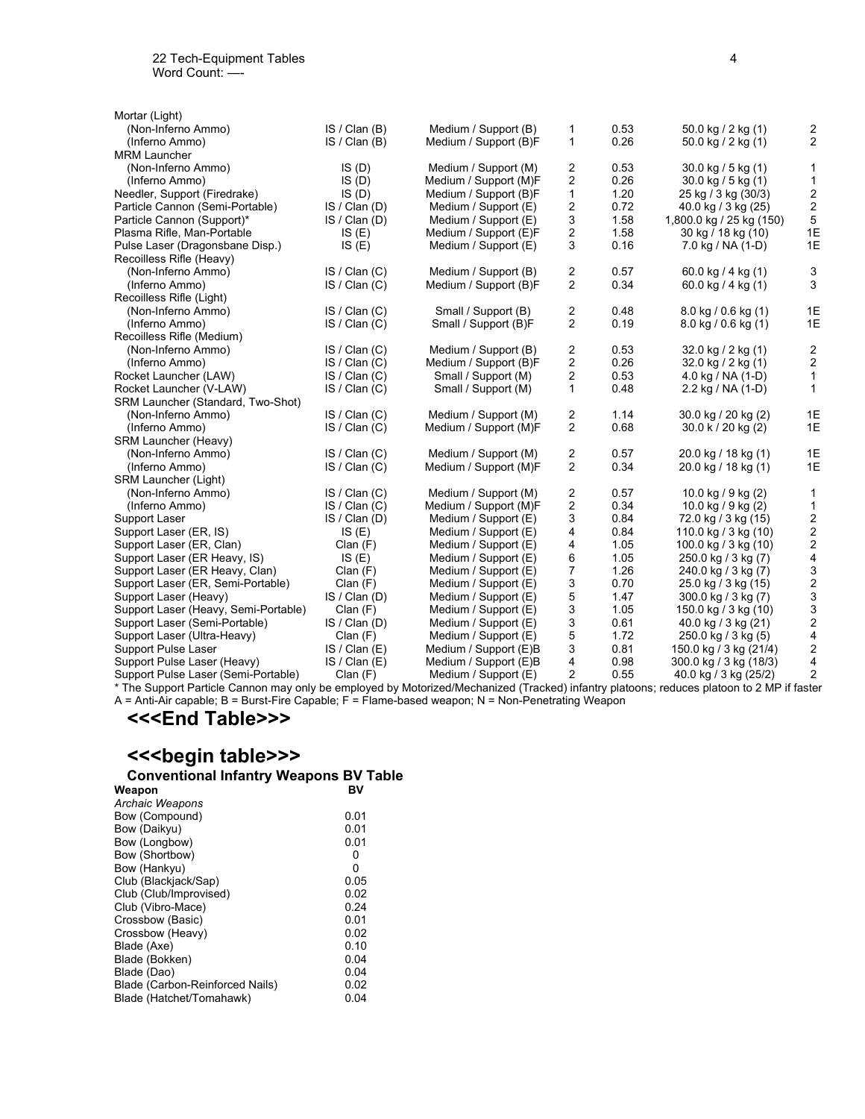| Mortar (Light)                                                                                                                            |               |                       |                         |      |                           |                                            |
|-------------------------------------------------------------------------------------------------------------------------------------------|---------------|-----------------------|-------------------------|------|---------------------------|--------------------------------------------|
| (Non-Inferno Ammo)                                                                                                                        | IS / Clan(B)  | Medium / Support (B)  | 1                       | 0.53 | 50.0 kg / 2 kg (1)        | 2                                          |
| (Inferno Ammo)                                                                                                                            | IS / Clan(B)  | Medium / Support (B)F | 1                       | 0.26 | 50.0 kg / 2 kg (1)        | 2                                          |
| <b>MRM Launcher</b>                                                                                                                       |               |                       |                         |      |                           |                                            |
| (Non-Inferno Ammo)                                                                                                                        | IS(D)         | Medium / Support (M)  | 2                       | 0.53 | $30.0$ kg / 5 kg (1)      | $\mathbf{1}$                               |
| (Inferno Ammo)                                                                                                                            | IS(D)         | Medium / Support (M)F | $\overline{2}$          | 0.26 | $30.0$ kg $/5$ kg $(1)$   | $\mathbf{1}$                               |
| Needler, Support (Firedrake)                                                                                                              | IS(D)         | Medium / Support (B)F | $\mathbf{1}$            | 1.20 | 25 kg / 3 kg (30/3)       | $\boldsymbol{2}$                           |
| Particle Cannon (Semi-Portable)                                                                                                           | IS / Clan (D) | Medium / Support (E)  | 2                       | 0.72 | 40.0 kg / 3 kg (25)       | $\boldsymbol{2}$                           |
| Particle Cannon (Support)*                                                                                                                | IS / Clan (D) | Medium / Support (E)  | 3                       | 1.58 | 1,800.0 kg / 25 kg (150)  | 5                                          |
| Plasma Rifle, Man-Portable                                                                                                                | IS(E)         | Medium / Support (E)F | $\overline{\mathbf{c}}$ | 1.58 | 30 kg / 18 kg (10)        | 1E                                         |
| Pulse Laser (Dragonsbane Disp.)                                                                                                           | IS(E)         | Medium / Support (E)  | 3                       | 0.16 | 7.0 kg / NA (1-D)         | 1E                                         |
| Recoilless Rifle (Heavy)                                                                                                                  |               |                       |                         |      |                           |                                            |
| (Non-Inferno Ammo)                                                                                                                        | IS / Clan(C)  | Medium / Support (B)  | $\overline{c}$          | 0.57 | 60.0 kg / 4 kg (1)        | 3                                          |
| (Inferno Ammo)                                                                                                                            | IS / Clan(C)  | Medium / Support (B)F | $\overline{2}$          | 0.34 | 60.0 kg / 4 kg (1)        | 3                                          |
| Recoilless Rifle (Light)                                                                                                                  |               |                       |                         |      |                           |                                            |
| (Non-Inferno Ammo)                                                                                                                        | IS / Clan(C)  | Small / Support (B)   | 2                       | 0.48 | $8.0$ kg $/ 0.6$ kg $(1)$ | 1E                                         |
| (Inferno Ammo)                                                                                                                            | IS / Clan(C)  | Small / Support (B)F  | $\overline{2}$          | 0.19 | $8.0$ kg $/ 0.6$ kg $(1)$ | 1E                                         |
| Recoilless Rifle (Medium)                                                                                                                 |               |                       |                         |      |                           |                                            |
| (Non-Inferno Ammo)                                                                                                                        | IS / Clan(C)  | Medium / Support (B)  | 2                       | 0.53 | 32.0 kg / 2 kg (1)        | 2                                          |
| (Inferno Ammo)                                                                                                                            | IS / Clan (C) | Medium / Support (B)F | 2                       | 0.26 | 32.0 kg / 2 kg (1)        | $\sqrt{2}$                                 |
| Rocket Launcher (LAW)                                                                                                                     | IS / Clan(C)  | Small / Support (M)   | $\overline{2}$          | 0.53 | 4.0 kg / NA (1-D)         | $\mathbf{1}$                               |
| Rocket Launcher (V-LAW)                                                                                                                   | IS / Clan (C) | Small / Support (M)   | $\mathbf{1}$            | 0.48 | 2.2 kg / NA (1-D)         | $\mathbf{1}$                               |
| SRM Launcher (Standard, Two-Shot)                                                                                                         |               |                       |                         |      |                           |                                            |
| (Non-Inferno Ammo)                                                                                                                        | IS / Clan(C)  | Medium / Support (M)  | $\overline{c}$          | 1.14 | 30.0 kg / 20 kg (2)       | 1E                                         |
| (Inferno Ammo)                                                                                                                            | IS / Clan(C)  | Medium / Support (M)F | $\overline{2}$          | 0.68 | 30.0 k / 20 kg (2)        | 1E                                         |
| SRM Launcher (Heavy)                                                                                                                      |               |                       |                         |      |                           |                                            |
| (Non-Inferno Ammo)                                                                                                                        | IS / Clan(C)  | Medium / Support (M)  | $\sqrt{2}$              | 0.57 | 20.0 kg / 18 kg (1)       | 1E                                         |
| (Inferno Ammo)                                                                                                                            | IS / Clan(C)  | Medium / Support (M)F | 2                       | 0.34 | 20.0 kg / 18 kg (1)       | 1E                                         |
| SRM Launcher (Light)                                                                                                                      |               |                       |                         |      |                           |                                            |
| (Non-Inferno Ammo)                                                                                                                        | IS / Clan(C)  | Medium / Support (M)  | 2                       | 0.57 | 10.0 kg / 9 kg $(2)$      | 1                                          |
| (Inferno Ammo)                                                                                                                            | IS / Clan(C)  | Medium / Support (M)F | 2                       | 0.34 | 10.0 kg / 9 kg (2)        | $\mathbf{1}$                               |
| Support Laser                                                                                                                             | IS / Clan (D) | Medium / Support (E)  | 3                       | 0.84 | 72.0 kg / 3 kg (15)       |                                            |
| Support Laser (ER, IS)                                                                                                                    | IS(E)         | Medium / Support (E)  | 4                       | 0.84 | 110.0 kg / 3 kg (10)      | $\begin{array}{c} 2 \\ 2 \\ 2 \end{array}$ |
| Support Laser (ER, Clan)                                                                                                                  | Clan(F)       | Medium / Support (E)  | 4                       | 1.05 | 100.0 kg / 3 kg (10)      |                                            |
| Support Laser (ER Heavy, IS)                                                                                                              | IS(E)         | Medium / Support (E)  | 6                       | 1.05 | 250.0 kg / 3 kg (7)       | $\overline{\mathbf{4}}$                    |
| Support Laser (ER Heavy, Clan)                                                                                                            | Clan(F)       | Medium / Support (E)  | 7                       | 1.26 | 240.0 kg / 3 kg (7)       | 3                                          |
| Support Laser (ER, Semi-Portable)                                                                                                         | Clan(F)       | Medium / Support (E)  | 3                       | 0.70 | 25.0 kg / 3 kg (15)       | $\overline{\mathbf{c}}$                    |
| Support Laser (Heavy)                                                                                                                     | IS / Clan (D) | Medium / Support (E)  | 5                       | 1.47 | 300.0 kg / 3 kg (7)       | 3                                          |
| Support Laser (Heavy, Semi-Portable)                                                                                                      | Clan(F)       | Medium / Support (E)  | 3                       | 1.05 | 150.0 kg / 3 kg (10)      | $\ensuremath{\mathsf{3}}$                  |
| Support Laser (Semi-Portable)                                                                                                             | IS / Clan (D) | Medium / Support (E)  | 3                       | 0.61 | 40.0 kg / 3 kg (21)       | $\overline{c}$                             |
| Support Laser (Ultra-Heavy)                                                                                                               | Clan(F)       | Medium / Support (E)  | 5                       | 1.72 | 250.0 kg / 3 kg (5)       | 4                                          |
| <b>Support Pulse Laser</b>                                                                                                                | IS / Clan (E) | Medium / Support (E)B | 3                       | 0.81 | 150.0 kg / 3 kg (21/4)    | $\overline{\mathbf{c}}$                    |
| Support Pulse Laser (Heavy)                                                                                                               | IS / Clan(E)  | Medium / Support (E)B | 4                       | 0.98 | 300.0 kg / 3 kg (18/3)    | $\overline{4}$                             |
| Support Pulse Laser (Semi-Portable)                                                                                                       | Clan(F)       | Medium / Support (E)  | 2                       | 0.55 | 40.0 kg / 3 kg (25/2)     | 2                                          |
| * The Support Particle Cannon may only be employed by Motorized/Mechanized (Tracked) infantry platoons; reduces platoon to 2 MP if faster |               |                       |                         |      |                           |                                            |

A = Anti-Air capable; B = Burst-Fire Capable; F = Flame-based weapon; N = Non-Penetrating Weapon

#### **<<<End Table>>>**

# <<<br />begin table>>>

| <<<br>seque transport <                       |      |
|-----------------------------------------------|------|
| <b>Conventional Infantry Weapons BV Table</b> |      |
| Weapon                                        | BV   |
| <b>Archaic Weapons</b>                        |      |
| Bow (Compound)                                | 0.01 |
| Bow (Daikyu)                                  | 0.01 |
| Bow (Longbow)                                 | 0.01 |
| Bow (Shortbow)                                | 0    |
| Bow (Hankyu)                                  | 0    |
| Club (Blackjack/Sap)                          | 0.05 |
| Club (Club/Improvised)                        | 0.02 |
| Club (Vibro-Mace)                             | 0.24 |
| Crossbow (Basic)                              | 0.01 |
| Crossbow (Heavy)                              | 0.02 |
| Blade (Axe)                                   | 0.10 |
| Blade (Bokken)                                | 0.04 |
| Blade (Dao)                                   | 0.04 |
| Blade (Carbon-Reinforced Nails)               | 0.02 |
| Blade (Hatchet/Tomahawk)                      | 0.04 |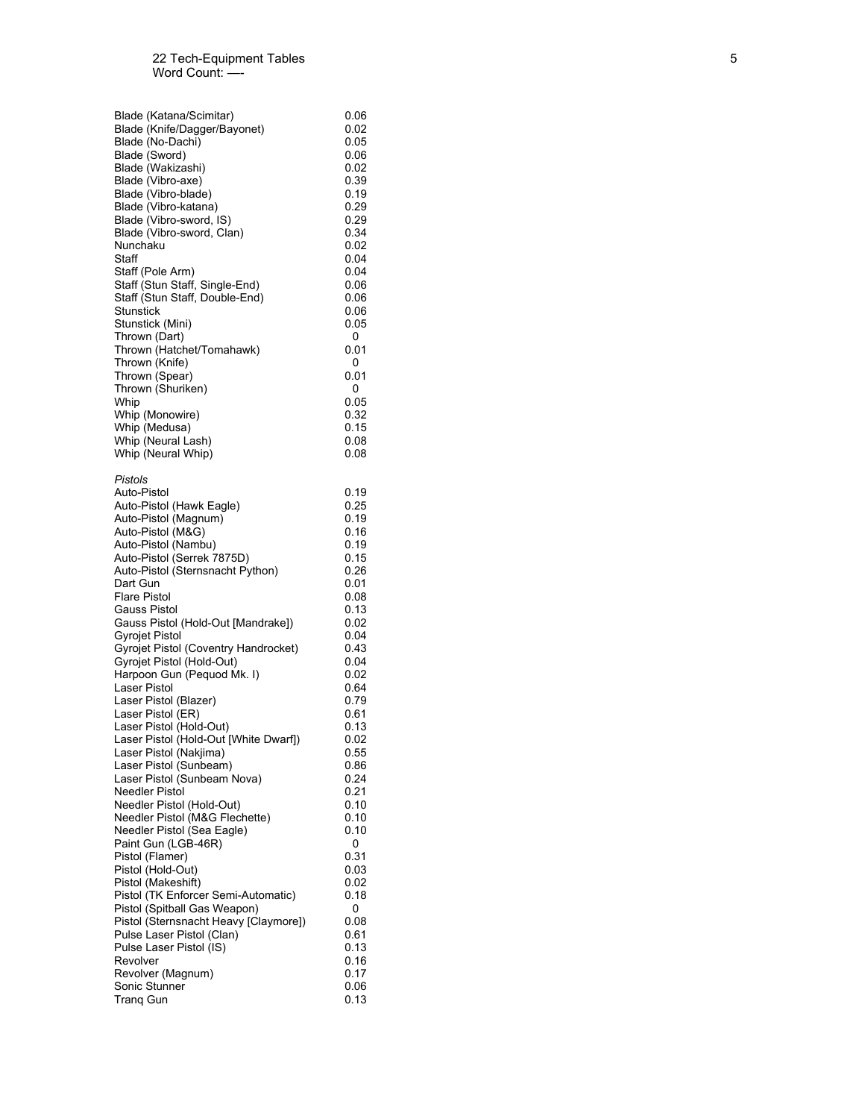| Blade (Katana/Scimitar)                | 0.06      |
|----------------------------------------|-----------|
| Blade (Knife/Dagger/Bayonet)           | 0.02      |
| Blade (No-Dachi)                       | 0.05      |
| Blade (Sword)                          | 0.06      |
| Blade (Wakizashi)                      | 0.02      |
| Blade (Vibro-axe)                      | 0.39      |
| Blade (Vibro-blade)                    | 0.19      |
| Blade (Vibro-katana)                   | 0.29      |
| Blade (Vibro-sword, IS)                | 0.29      |
| Blade (Vibro-sword, Clan)              | 0.34      |
| Nunchaku                               | 0.02      |
| Staff                                  | 0.04      |
| Staff (Pole Arm)                       | 0.04      |
| Staff (Stun Staff, Single-End)         | 0.06      |
| Staff (Stun Staff, Double-End)         | 0.06      |
| Stunstick                              | 0.06      |
| Stunstick (Mini)                       | 0.05      |
| Thrown (Dart)                          | 0         |
| Thrown (Hatchet/Tomahawk)              | 0.01      |
| Thrown (Knife)                         | 0         |
| Thrown (Spear)                         | 0.01      |
| Thrown (Shuriken)                      | 0         |
| Whip                                   | 0.05      |
| Whip (Monowire)                        | 0.32      |
| Whip (Medusa)                          | 0.15      |
| Whip (Neural Lash)                     | 0.08      |
| Whip (Neural Whip)                     | 0.08      |
| Pistols                                |           |
| Auto-Pistol                            | 0.19      |
| Auto-Pistol (Hawk Eagle)               | 0.25      |
| Auto-Pistol (Magnum)                   | 0.19      |
| Auto-Pistol (M&G)                      | 0.16      |
| Auto-Pistol (Nambu)                    | 0.19      |
| Auto-Pistol (Serrek 7875D)             | 0.15      |
| Auto-Pistol (Sternsnacht Python)       | 0.26      |
| Dart Gun                               | 0.01      |
| <b>Flare Pistol</b>                    | 0.08      |
| Gauss Pistol                           | 0.13      |
| Gauss Pistol (Hold-Out [Mandrake])     | 0.02      |
| Gyrojet Pistol                         | 0.04      |
| Gyrojet Pistol (Coventry Handrocket)   | 0.43      |
| Gyrojet Pistol (Hold-Out)              | 0.04      |
| Harpoon Gun (Pequod Mk. I)             | 0.02      |
| Laser Pistol                           | 0.64      |
| Laser Pistol (Blazer)                  | 0.79      |
| Laser Pistol (ER)                      | 0.61      |
| Laser Pistol (Hold-Out)                | 0.13      |
| Laser Pistol (Hold-Out [White Dwarf])  | 0.02      |
| Laser Pistol (Nakjima)                 | 0.55      |
| Laser Pistol (Sunbeam)                 | 0.86      |
| Laser Pistol (Sunbeam Nova)            | 0.24      |
| Needler Pistol                         | 0.21      |
| Needler Pistol (Hold-Out)              | 0.10      |
| Needler Pistol (M&G Flechette)         | 0.10      |
| Needler Pistol (Sea Eagle)             | 0.10      |
| Paint Gun (LGB-46R)<br>Pistol (Flamer) | 0<br>0.31 |
| Pistol (Hold-Out)                      | 0.03      |
| Pistol (Makeshift)                     | 0.02      |
| Pistol (TK Enforcer Semi-Automatic)    | 0.18      |
| Pistol (Spitball Gas Weapon)           | 0         |
| Pistol (Sternsnacht Heavy [Claymore])  | 0.08      |
| Pulse Laser Pistol (Clan)              | 0.61      |
| Pulse Laser Pistol (IS)                | 0.13      |
| Revolver                               | 0.16      |
| Revolver (Magnum)                      | 0.17      |
| Sonic Stunner                          | 0.06      |
| Tranq Gun                              | 0.13      |
|                                        |           |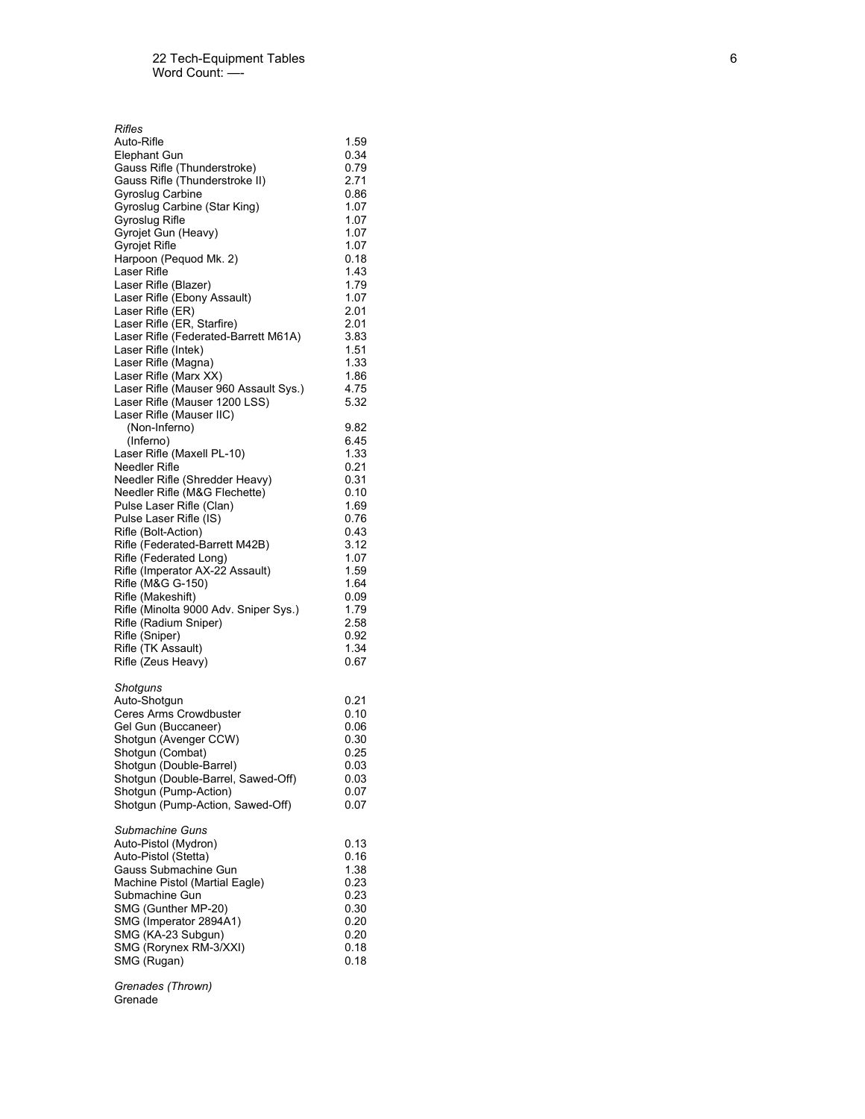| Rifles                                  |              |
|-----------------------------------------|--------------|
| Auto-Rifle                              | 1.59         |
| Elephant Gun                            | 0.34         |
| Gauss Rifle (Thunderstroke)             | 0.79         |
| Gauss Rifle (Thunderstroke II)          | 2.71         |
| Gyroslug Carbine                        | 0.86         |
| Gyroslug Carbine (Star King)            | 1.07         |
| Gyroslug Rifle                          | 1.07         |
| Gyrojet Gun (Heavy)                     | 1.07         |
| Gyrojet Rifle                           | 1.07         |
| Harpoon (Pequod Mk. 2)                  | 0.18         |
| Laser Rifle                             | 1.43         |
| Laser Rifle (Blazer)                    | 1.79         |
| Laser Rifle (Ebony Assault)             | 1.07         |
| Laser Rifle (ER)                        | 2.01         |
| Laser Rifle (ER, Starfire)              | 2.01         |
| Laser Rifle (Federated-Barrett M61A)    | 3.83         |
| Laser Rifle (Intek)                     | 1.51         |
| Laser Rifle (Magna)                     | 1.33         |
| Laser Rifle (Marx XX)                   | 1.86         |
| Laser Rifle (Mauser 960 Assault Sys.)   | 4.75         |
| Laser Rifle (Mauser 1200 LSS)           | 5.32         |
| Laser Rifle (Mauser IIC)                |              |
| (Non-Inferno)                           | 9.82         |
| (Inferno)                               | 6.45         |
| Laser Rifle (Maxell PL-10)              | 1.33         |
| Needler Rifle                           | 0.21         |
| Needler Rifle (Shredder Heavy)          | 0.31         |
| Needler Rifle (M&G Flechette)           | 0.10         |
| Pulse Laser Rifle (Clan)                | 1.69         |
| Pulse Laser Rifle (IS)                  | 0.76         |
| Rifle (Bolt-Action)                     | 0.43         |
| Rifle (Federated-Barrett M42B)          | 3.12         |
| Rifle (Federated Long)                  | 1.07         |
| Rifle (Imperator AX-22 Assault)         | 1.59         |
| Rifle (M&G G-150)                       | 1.64         |
| Rifle (Makeshift)                       | 0.09         |
| Rifle (Minolta 9000 Adv. Sniper Sys.)   | 1.79         |
| Rifle (Radium Sniper)                   | 2.58         |
| Rifle (Sniper)                          | 0.92         |
| Rifle (TK Assault)                      | 1.34         |
| Rifle (Zeus Heavy)                      | 0.67         |
|                                         |              |
| Shotguns                                |              |
| Auto-Shotgun                            | 0.21         |
| Ceres Arms Crowdbuster                  | 0.10         |
| Gel Gun (Buccaneer)                     | 0.06         |
| Shotgun (Avenger CCW)                   | 0.30         |
| Shotgun (Combat)                        | 0.25         |
| Shotgun (Double-Barrel)                 | 0.03         |
| Shotgun (Double-Barrel, Sawed-Off)      | 0.03         |
| Shotgun (Pump-Action)                   | 0.07         |
| Shotgun (Pump-Action, Sawed-Off)        | 0.07         |
|                                         |              |
| Submachine Guns<br>Auto-Pistol (Mydron) | 0.13         |
| Auto-Pistol (Stetta)                    |              |
| Gauss Submachine Gun                    | 0.16<br>1.38 |
| Machine Pistol (Martial Eagle)          |              |
| Submachine Gun                          | 0.23<br>0.23 |
| SMG (Gunther MP-20)                     | 0.30         |
| SMG (Imperator 2894A1)                  | 0.20         |
| SMG (KA-23 Subgun)                      | 0.20         |
| SMG (Rorynex RM-3/XXI)                  | 0.18         |
| SMG (Rugan)                             | 0.18         |
|                                         |              |
| <b>/Th</b><br>1.0011111                 |              |

*Grenades (Thrown)* Grenade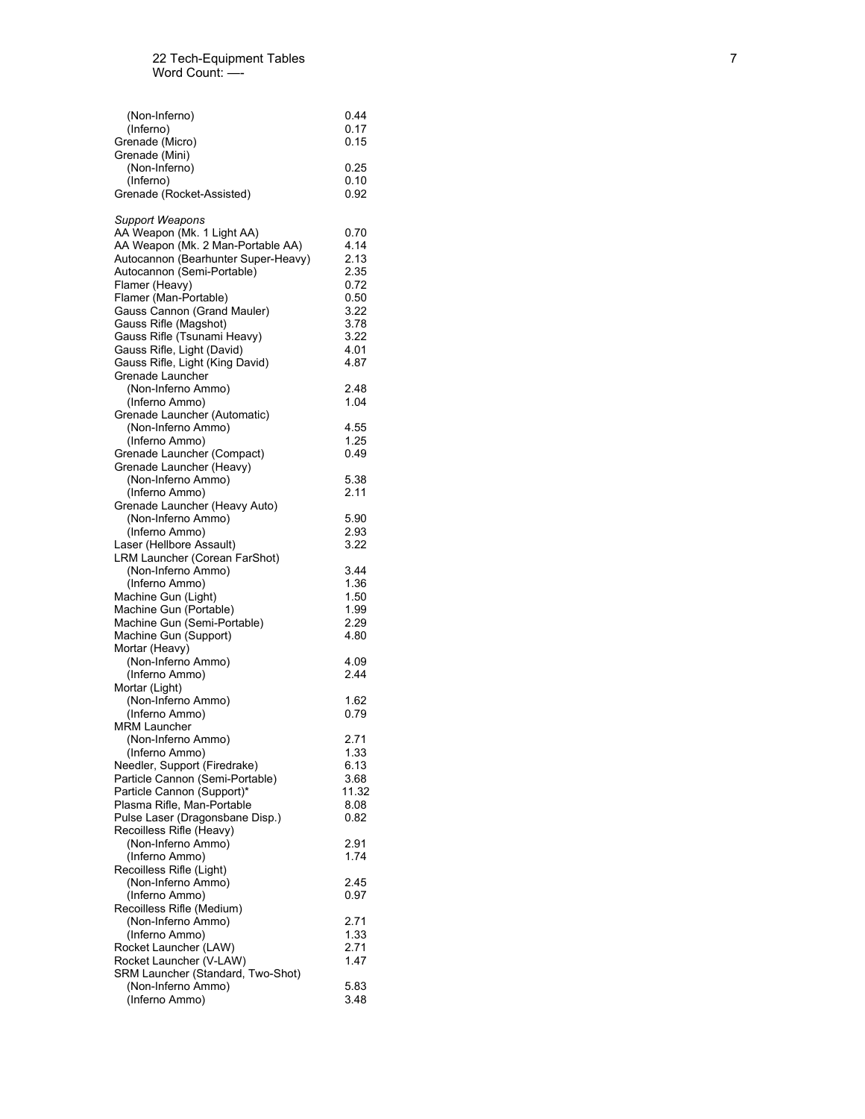| Rocket Launcher (V-LAW)<br>SRM Launcher (Standard, Two-Shot)<br>(Non-Inferno Ammo)<br>(Inferno Ammo)                                                                                                                                     | 1.47<br>5.83<br>3.48                                  |
|------------------------------------------------------------------------------------------------------------------------------------------------------------------------------------------------------------------------------------------|-------------------------------------------------------|
| Recoilless Rifle (Medium)<br>(Non-Inferno Ammo)<br>(Inferno Ammo)<br>Rocket Launcher (LAW)                                                                                                                                               | 2.71<br>1.33<br>2.71                                  |
| Recoilless Rifle (Light)<br>(Non-Inferno Ammo)<br>(Inferno Ammo)                                                                                                                                                                         | 2.45<br>0.97                                          |
| Recoilless Rifle (Heavy)<br>(Non-Inferno Ammo)<br>(Inferno Ammo)                                                                                                                                                                         | 2.91<br>1.74                                          |
| (Non-Inferno Ammo)<br>(Inferno Ammo)<br>Needler, Support (Firedrake)<br>Particle Cannon (Semi-Portable)<br>Particle Cannon (Support)*<br>Plasma Rifle, Man-Portable<br>Pulse Laser (Dragonsbane Disp.)                                   | 2.71<br>1.33<br>6.13<br>3.68<br>11.32<br>8.08<br>0.82 |
| (Non-Inferno Ammo)<br>(Inferno Ammo)<br>MRM Launcher                                                                                                                                                                                     | 1.62<br>0.79                                          |
| Mortar (Heavy)<br>(Non-Inferno Ammo)<br>(Inferno Ammo)<br>Mortar (Light)                                                                                                                                                                 | 4.09<br>2.44                                          |
| (Non-Inferno Ammo)<br>(Inferno Ammo)<br>Machine Gun (Light)<br>Machine Gun (Portable)<br>Machine Gun (Semi-Portable)<br>Machine Gun (Support)                                                                                            | 3.44<br>1.36<br>1.50<br>1.99<br>2.29<br>4.80          |
| Grenade Launcher (Heavy Auto)<br>(Non-Inferno Ammo)<br>(Inferno Ammo)<br>Laser (Hellbore Assault)<br>LRM Launcher (Corean FarShot)                                                                                                       | 5.90<br>2.93<br>3.22                                  |
| Grenade Launcher (Heavy)<br>(Non-Inferno Ammo)<br>(Inferno Ammo)                                                                                                                                                                         | 5.38<br>2.11                                          |
| (Inferno Ammo)<br>Grenade Launcher (Automatic)<br>(Non-Inferno Ammo)<br>(Inferno Ammo)<br>Grenade Launcher (Compact)                                                                                                                     | 1.04<br>4.55<br>1.25<br>0.49                          |
| Gauss Rifle (Magshot)<br>Gauss Rifle (Tsunami Heavy)<br>Gauss Rifle, Light (David)<br>Gauss Rifle, Light (King David)<br>Grenade Launcher<br>(Non-Inferno Ammo)                                                                          | 3.78<br>3.22<br>4.01<br>4.87<br>2.48                  |
| <b>Support Weapons</b><br>AA Weapon (Mk. 1 Light AA)<br>AA Weapon (Mk. 2 Man-Portable AA)<br>Autocannon (Bearhunter Super-Heavy)<br>Autocannon (Semi-Portable)<br>Flamer (Heavy)<br>Flamer (Man-Portable)<br>Gauss Cannon (Grand Mauler) | 0.70<br>4.14<br>2.13<br>2.35<br>0.72<br>0.50<br>3.22  |
| Grenade (Mini)<br>(Non-Inferno)<br>(Inferno)<br>Grenade (Rocket-Assisted)                                                                                                                                                                | 0.25<br>0.10<br>0.92                                  |
| (Non-Inferno)<br>(Inferno)<br>Grenade (Micro)                                                                                                                                                                                            | 0.44<br>0.17<br>0.15                                  |